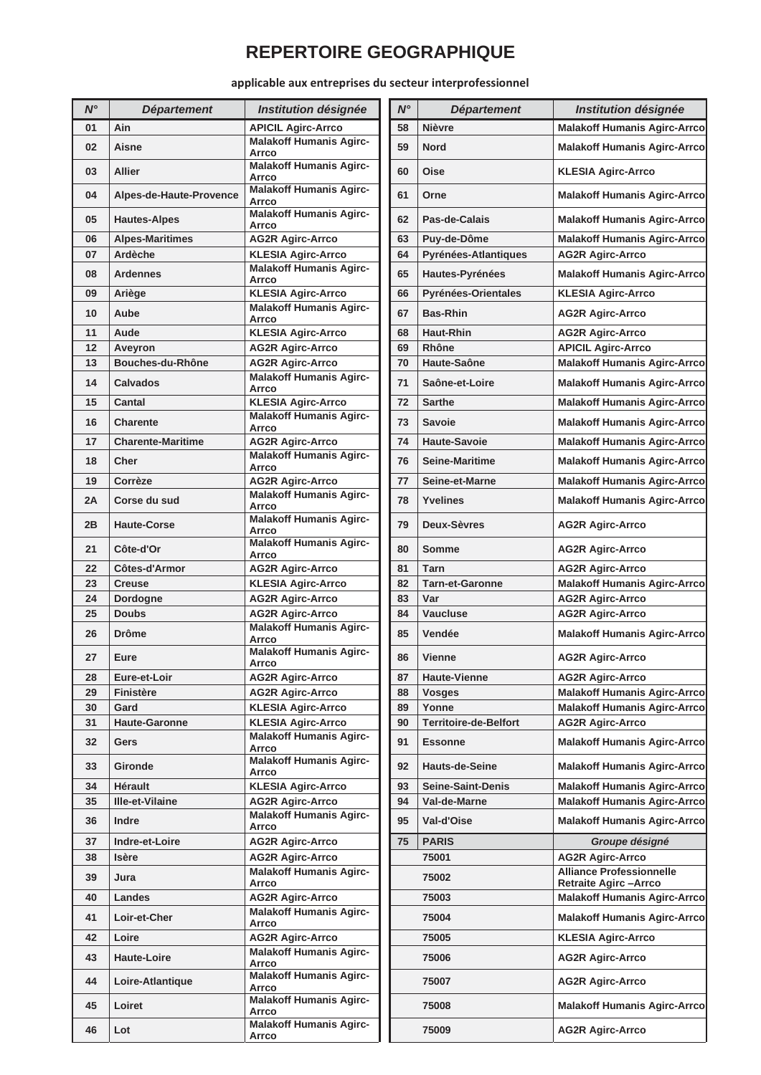## **REPERTOIRE GEOGRAPHIQUE**

applicable aux entreprises du secteur interprofessionnel

| $N^{\circ}$ | <b>Département</b>       | Institution désignée                    | $N^{\circ}$ | <b>Département</b>           | Institution désignée                                           |
|-------------|--------------------------|-----------------------------------------|-------------|------------------------------|----------------------------------------------------------------|
| 01          | Ain                      | <b>APICIL Agirc-Arrco</b>               | 58          | <b>Nièvre</b>                | <b>Malakoff Humanis Agirc-A</b>                                |
| 02          | Aisne                    | <b>Malakoff Humanis Agirc-</b><br>Arrco | 59          | <b>Nord</b>                  | <b>Malakoff Humanis Agirc-A</b>                                |
| 03          | <b>Allier</b>            | <b>Malakoff Humanis Agirc-</b><br>Arrco | 60          | <b>Oise</b>                  | <b>KLESIA Agirc-Arrco</b>                                      |
| 04          | Alpes-de-Haute-Provence  | <b>Malakoff Humanis Agirc-</b><br>Arrco | 61          | Orne                         | <b>Malakoff Humanis Agirc-A</b>                                |
| 05          | <b>Hautes-Alpes</b>      | <b>Malakoff Humanis Agirc-</b><br>Arrco | 62          | Pas-de-Calais                | <b>Malakoff Humanis Agirc-A</b>                                |
| 06          | <b>Alpes-Maritimes</b>   | <b>AG2R Agirc-Arrco</b>                 | 63          | Puv-de-Dôme                  | <b>Malakoff Humanis Agirc-A</b>                                |
| 07          | Ardèche                  | <b>KLESIA Agirc-Arrco</b>               | 64          | Pyrénées-Atlantiques         | <b>AG2R Agirc-Arrco</b>                                        |
| 08          | <b>Ardennes</b>          | <b>Malakoff Humanis Agirc-</b><br>Arrco | 65          | Hautes-Pyrénées              | <b>Malakoff Humanis Agirc-A</b>                                |
| 09          | Ariège                   | <b>KLESIA Agirc-Arrco</b>               | 66          | Pyrénées-Orientales          | <b>KLESIA Agirc-Arrco</b>                                      |
| 10          | Aube                     | <b>Malakoff Humanis Agirc-</b><br>Arrco | 67          | <b>Bas-Rhin</b>              | <b>AG2R Agirc-Arrco</b>                                        |
| 11          | Aude                     | <b>KLESIA Agirc-Arrco</b>               | 68          | <b>Haut-Rhin</b>             | <b>AG2R Agirc-Arrco</b>                                        |
| 12          | Aveyron                  | <b>AG2R Agirc-Arrco</b>                 | 69          | Rhône                        | <b>APICIL Agirc-Arrco</b>                                      |
| 13          | Bouches-du-Rhône         | <b>AG2R Agirc-Arrco</b>                 | 70          | Haute-Saône                  | <b>Malakoff Humanis Agirc-A</b>                                |
| 14          | <b>Calvados</b>          | <b>Malakoff Humanis Agirc-</b><br>Arrco | 71          | Saône-et-Loire               | <b>Malakoff Humanis Agirc-A</b>                                |
| 15          | Cantal                   | <b>KLESIA Agirc-Arrco</b>               | 72          | <b>Sarthe</b>                | <b>Malakoff Humanis Agirc-A</b>                                |
| 16          | Charente                 | <b>Malakoff Humanis Agirc-</b><br>Arrco | 73          | <b>Savoie</b>                | <b>Malakoff Humanis Agirc-A</b>                                |
| 17          | <b>Charente-Maritime</b> | <b>AG2R Agirc-Arrco</b>                 | 74          | <b>Haute-Savoie</b>          | <b>Malakoff Humanis Agirc-A</b>                                |
| 18          | Cher                     | <b>Malakoff Humanis Agirc-</b><br>Arrco | 76          | <b>Seine-Maritime</b>        | <b>Malakoff Humanis Agirc-A</b>                                |
| 19          | Corrèze                  | <b>AG2R Agirc-Arrco</b>                 | 77          | Seine-et-Marne               | <b>Malakoff Humanis Agirc-A</b>                                |
| 2A          | Corse du sud             | <b>Malakoff Humanis Agirc-</b><br>Arrco | 78          | Yvelines                     | <b>Malakoff Humanis Agirc-A</b>                                |
| 2B          | <b>Haute-Corse</b>       | <b>Malakoff Humanis Agirc-</b><br>Arrco | 79          | Deux-Sèvres                  | <b>AG2R Agirc-Arrco</b>                                        |
| 21          | Côte-d'Or                | <b>Malakoff Humanis Agirc-</b><br>Arrco | 80          | <b>Somme</b>                 | <b>AG2R Agirc-Arrco</b>                                        |
| 22          | Côtes-d'Armor            | <b>AG2R Agirc-Arrco</b>                 | 81          | Tarn                         | <b>AG2R Agirc-Arrco</b>                                        |
| 23          | <b>Creuse</b>            | <b>KLESIA Agirc-Arrco</b>               | 82          | <b>Tarn-et-Garonne</b>       | <b>Malakoff Humanis Agirc-A</b>                                |
| 24          | Dordogne                 | <b>AG2R Agirc-Arrco</b>                 | 83          | Var                          | <b>AG2R Agirc-Arrco</b>                                        |
| 25          | <b>Doubs</b>             | <b>AG2R Agirc-Arrco</b>                 | 84          | <b>Vaucluse</b>              | <b>AG2R Agirc-Arrco</b>                                        |
| 26          | <b>Drôme</b>             | <b>Malakoff Humanis Agirc-</b><br>Arrco | 85          | Vendée                       | <b>Malakoff Humanis Agirc-A</b>                                |
| 27          | Eure                     | <b>Malakoff Humanis Agirc-</b><br>Arrco | 86          | <b>Vienne</b>                | <b>AG2R Agirc-Arrco</b>                                        |
| 28          | Eure-et-Loir             | <b>AG2R Agirc-Arrco</b>                 | 87          | <b>Haute-Vienne</b>          | <b>AG2R Agirc-Arrco</b>                                        |
| 29          | Finistère                | <b>AG2R Agirc-Arrco</b>                 | 88          | <b>Vosges</b>                | <b>Malakoff Humanis Agirc-A</b>                                |
| 30          | Gard                     | <b>KLESIA Agirc-Arrco</b>               | 89          | Yonne                        | <b>Malakoff Humanis Agirc-A</b>                                |
| 31          | <b>Haute-Garonne</b>     | <b>KLESIA Agirc-Arrco</b>               | 90          | <b>Territoire-de-Belfort</b> | <b>AG2R Agirc-Arrco</b>                                        |
| 32          | Gers                     | <b>Malakoff Humanis Agirc-</b><br>Arrco | 91          | <b>Essonne</b>               | <b>Malakoff Humanis Agirc-A</b>                                |
| 33          | Gironde                  | <b>Malakoff Humanis Agirc-</b><br>Arrco | 92          | <b>Hauts-de-Seine</b>        | <b>Malakoff Humanis Agirc-A</b>                                |
| 34          | Hérault                  | <b>KLESIA Agirc-Arrco</b>               | 93          | <b>Seine-Saint-Denis</b>     | <b>Malakoff Humanis Agirc-A</b>                                |
| 35          | Ille-et-Vilaine          | <b>AG2R Agirc-Arrco</b>                 | 94          | Val-de-Marne                 | <b>Malakoff Humanis Agirc-A</b>                                |
| 36          | Indre                    | <b>Malakoff Humanis Agirc-</b><br>Arrco | 95          | Val-d'Oise                   | <b>Malakoff Humanis Agirc-A</b>                                |
| 37          | Indre-et-Loire           | <b>AG2R Agirc-Arrco</b>                 | 75          | <b>PARIS</b>                 | Groupe désigné                                                 |
| 38          | Isère                    | <b>AG2R Agirc-Arrco</b>                 |             | 75001                        | <b>AG2R Agirc-Arrco</b>                                        |
| 39          | Jura                     | <b>Malakoff Humanis Agirc-</b><br>Arrco |             | 75002                        | <b>Alliance Professionnelle</b><br><b>Retraite Agirc-Arrco</b> |
| 40          | Landes                   | <b>AG2R Agirc-Arrco</b>                 |             | 75003                        | <b>Malakoff Humanis Agirc-A</b>                                |
| 41          | Loir-et-Cher             | <b>Malakoff Humanis Agirc-</b><br>Arrco |             | 75004                        | <b>Malakoff Humanis Agirc-A</b>                                |
| 42          | Loire                    | <b>AG2R Agirc-Arrco</b>                 |             | 75005                        | <b>KLESIA Agirc-Arrco</b>                                      |
| 43          | <b>Haute-Loire</b>       | <b>Malakoff Humanis Agirc-</b><br>Arrco |             | 75006                        | <b>AG2R Agirc-Arrco</b>                                        |
| 44          | Loire-Atlantique         | <b>Malakoff Humanis Agirc-</b><br>Arrco |             | 75007                        | <b>AG2R Agirc-Arrco</b>                                        |
| 45          | Loiret                   | <b>Malakoff Humanis Agirc-</b><br>Arrco |             | 75008                        | <b>Malakoff Humanis Agirc-A</b>                                |
| 46          | Lot                      | <b>Malakoff Humanis Agirc-</b><br>Arrco |             | 75009                        | <b>AG2R Agirc-Arrco</b>                                        |

| N° | <b>Département</b>       | Institution désignée                             | $N^{\circ}$ | <b>Département</b>           | <b>Institution désignée</b>                                    |
|----|--------------------------|--------------------------------------------------|-------------|------------------------------|----------------------------------------------------------------|
| 01 | Ain                      | <b>APICIL Agirc-Arrco</b>                        | 58          | <b>Nièvre</b>                | <b>Malakoff Humanis Agirc-Arrco</b>                            |
| 02 | Aisne                    | <b>Malakoff Humanis Agirc-</b><br>Arrco          | 59          | <b>Nord</b>                  | <b>Malakoff Humanis Agirc-Arrco</b>                            |
| 03 | <b>Allier</b>            | <b>Malakoff Humanis Agirc-</b><br>Arrco          | 60          | <b>Oise</b>                  | <b>KLESIA Agirc-Arrco</b>                                      |
| 04 | Alpes-de-Haute-Provence  | <b>Malakoff Humanis Agirc-</b><br>Arrco          | 61          | Orne                         | <b>Malakoff Humanis Agirc-Arrco</b>                            |
| 05 | <b>Hautes-Alpes</b>      | <b>Malakoff Humanis Agirc-</b><br>Arrco          | 62          | Pas-de-Calais                | <b>Malakoff Humanis Agirc-Arrco</b>                            |
| 06 | <b>Alpes-Maritimes</b>   | <b>AG2R Agirc-Arrco</b>                          | 63          | Puy-de-Dôme                  | <b>Malakoff Humanis Agirc-Arrco</b>                            |
| 07 | <b>Ardèche</b>           | <b>KLESIA Agirc-Arrco</b>                        | 64          | Pyrénées-Atlantiques         | <b>AG2R Agirc-Arrco</b>                                        |
| 80 | <b>Ardennes</b>          | <b>Malakoff Humanis Agirc-</b><br>Arrco          | 65          | Hautes-Pyrénées              | <b>Malakoff Humanis Agirc-Arrco</b>                            |
| 09 | Ariège                   | <b>KLESIA Agirc-Arrco</b>                        | 66          | Pyrénées-Orientales          | <b>KLESIA Agirc-Arrco</b>                                      |
| 10 | Aube                     | <b>Malakoff Humanis Agirc-</b><br>Arrco          | 67          | <b>Bas-Rhin</b>              | <b>AG2R Agirc-Arrco</b>                                        |
| 11 | Aude                     | <b>KLESIA Agirc-Arrco</b>                        | 68          | <b>Haut-Rhin</b>             | <b>AG2R Agirc-Arrco</b>                                        |
| 12 | Aveyron                  | <b>AG2R Agirc-Arrco</b>                          | 69          | Rhône                        | <b>APICIL Agirc-Arrco</b>                                      |
| 13 | Bouches-du-Rhône         | <b>AG2R Agirc-Arrco</b>                          | 70          | Haute-Saône                  | <b>Malakoff Humanis Agirc-Arrco</b>                            |
| 14 | <b>Calvados</b>          | <b>Malakoff Humanis Agirc-</b><br>Arrco          | 71          | Saône-et-Loire               | <b>Malakoff Humanis Agirc-Arrco</b>                            |
| 15 | Cantal                   | <b>KLESIA Agirc-Arrco</b>                        | 72          | <b>Sarthe</b>                | <b>Malakoff Humanis Agirc-Arrco</b>                            |
| 16 | <b>Charente</b>          | <b>Malakoff Humanis Agirc-</b><br>Arrco          | 73          | <b>Savoie</b>                | <b>Malakoff Humanis Agirc-Arrco</b>                            |
| 17 | <b>Charente-Maritime</b> | <b>AG2R Agirc-Arrco</b>                          | 74          | <b>Haute-Savoie</b>          | <b>Malakoff Humanis Agirc-Arrco</b>                            |
| 18 | <b>Cher</b>              | <b>Malakoff Humanis Agirc-</b><br>Arrco          | 76          | <b>Seine-Maritime</b>        | <b>Malakoff Humanis Agirc-Arrco</b>                            |
| 19 | Corrèze                  | <b>AG2R Agirc-Arrco</b>                          | 77          | Seine-et-Marne               | <b>Malakoff Humanis Agirc-Arrco</b>                            |
| 2A | Corse du sud             | <b>Malakoff Humanis Agirc-</b><br>Arrco          | 78          | <b>Yvelines</b>              | <b>Malakoff Humanis Agirc-Arrco</b>                            |
| 2В | <b>Haute-Corse</b>       | <b>Malakoff Humanis Agirc-</b><br>Arrco          | 79          | Deux-Sèvres                  | <b>AG2R Agirc-Arrco</b>                                        |
| 21 | Côte-d'Or                | <b>Malakoff Humanis Agirc-</b><br>Arrco          | 80          | <b>Somme</b>                 | <b>AG2R Agirc-Arrco</b>                                        |
| 22 | Côtes-d'Armor            | <b>AG2R Agirc-Arrco</b>                          | 81          | Tarn                         | <b>AG2R Agirc-Arrco</b>                                        |
| 23 | <b>Creuse</b>            | <b>KLESIA Agirc-Arrco</b>                        | 82          | <b>Tarn-et-Garonne</b>       | <b>Malakoff Humanis Agirc-Arrco</b>                            |
| 24 | Dordogne                 | <b>AG2R Agirc-Arrco</b>                          | 83          | Var                          | <b>AG2R Agirc-Arrco</b>                                        |
| 25 | <b>Doubs</b>             | <b>AG2R Agirc-Arrco</b>                          | 84          | <b>Vaucluse</b>              | <b>AG2R Agirc-Arrco</b>                                        |
| 26 | <b>Drôme</b>             | <b>Malakoff Humanis Agirc-</b><br>Arrco          | 85          | Vendée                       | <b>Malakoff Humanis Agirc-Arrco</b>                            |
| 27 | Eure                     | <b>Malakoff Humanis Agirc-</b><br>Arrco          | 86          | <b>Vienne</b>                | <b>AG2R Agirc-Arrco</b>                                        |
| 28 | Eure-et-Loir             | <b>AG2R Agirc-Arrco</b>                          | 87          | <b>Haute-Vienne</b>          | <b>AG2R Agirc-Arrco</b>                                        |
| 29 | <b>Finistère</b>         | <b>AG2R Agirc-Arrco</b>                          | 88          | <b>Vosges</b>                | <b>Malakoff Humanis Agirc-Arrco</b>                            |
| 30 | Gard                     | <b>KLESIA Agirc-Arrco</b>                        | 89          | Yonne                        | <b>Malakoff Humanis Agirc-Arrco</b>                            |
| 31 | <b>Haute-Garonne</b>     | <b>KLESIA Agirc-Arrco</b>                        | 90          | <b>Territoire-de-Belfort</b> | <b>AG2R Agirc-Arrco</b>                                        |
| 32 | Gers                     | <b>Malakoff Humanis Agirc-</b><br>Arrco          | 91          | <b>Essonne</b>               | <b>Malakoff Humanis Agirc-Arrco</b>                            |
| 33 | <b>Gironde</b>           | <b>Malakoff Humanis Agirc-</b><br>Arrco          | 92          | <b>Hauts-de-Seine</b>        | <b>Malakoff Humanis Agirc-Arrco</b>                            |
| 34 | Hérault                  | <b>KLESIA Agirc-Arrco</b>                        | 93          | <b>Seine-Saint-Denis</b>     | <b>Malakoff Humanis Agirc-Arrco</b>                            |
| 35 | Ille-et-Vilaine          | <b>AG2R Agirc-Arrco</b>                          | 94          | Val-de-Marne                 | <b>Malakoff Humanis Agirc-Arrco</b>                            |
| 36 | Indre                    | <b>Malakoff Humanis Agirc-</b><br>Arrco          | 95          | Val-d'Oise                   | <b>Malakoff Humanis Agirc-Arrco</b>                            |
| 37 | Indre-et-Loire           | <b>AG2R Agirc-Arrco</b>                          | 75          | <b>PARIS</b>                 | Groupe désigné                                                 |
| 38 | Isère                    | <b>AG2R Agirc-Arrco</b>                          |             | 75001                        | <b>AG2R Agirc-Arrco</b>                                        |
| 39 | Jura                     | <b>Malakoff Humanis Agirc-</b><br>Arrco          |             | 75002                        | <b>Alliance Professionnelle</b><br><b>Retraite Agirc-Arrco</b> |
| 40 | <b>Landes</b>            | <b>AG2R Agirc-Arrco</b>                          |             | 75003                        | <b>Malakoff Humanis Agirc-Arrco</b>                            |
| 41 | Loir-et-Cher             | <b>Malakoff Humanis Agirc-</b><br>Arrco          |             | 75004                        | <b>Malakoff Humanis Agirc-Arrco</b>                            |
| 42 | Loire                    | <b>AG2R Agirc-Arrco</b>                          |             | 75005                        | <b>KLESIA Agirc-Arrco</b>                                      |
| 43 | <b>Haute-Loire</b>       | <b>Malakoff Humanis Agirc-</b>                   |             | 75006                        | <b>AG2R Agirc-Arrco</b>                                        |
| 44 | Loire-Atlantique         | Arrco<br><b>Malakoff Humanis Agirc-</b><br>Arrco |             | 75007                        | <b>AG2R Agirc-Arrco</b>                                        |
| 45 | Loiret                   | <b>Malakoff Humanis Agirc-</b><br>Arrco          |             | 75008                        | <b>Malakoff Humanis Agirc-Arrco</b>                            |
| 46 | Lot                      | <b>Malakoff Humanis Agirc-</b><br>Arrco          |             | 75009                        | <b>AG2R Agirc-Arrco</b>                                        |